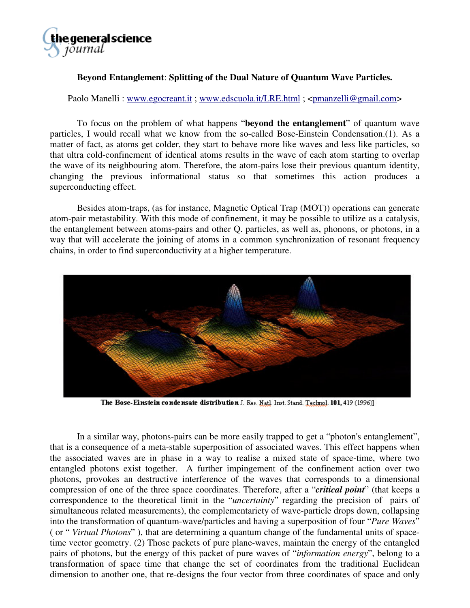

## **Beyond Entanglement**: **Splitting of the Dual Nature of Quantum Wave Particles.**

Paolo Manelli : [www.egocreant.it ;](http://www.egocreant.it) [www.edscuola.it/LRE.html ;](http://www.edscuola.it/LRE.html) <pmanzelli@gmail.com>

To focus on the problem of what happens "**beyond the entanglement**" of quantum wave particles, I would recall what we know from the so-called Bose-Einstein Condensation.(1). As a matter of fact, as atoms get colder, they start to behave more like waves and less like particles, so that ultra cold-confinement of identical atoms results in the wave of each atom starting to overlap the wave of its neighbouring atom. Therefore, the atom-pairs lose their previous quantum identity, changing the previous informational status so that sometimes this action produces a superconducting effect.

Besides atom-traps, (as for instance, Magnetic Optical Trap (MOT)) operations can generate atom-pair metastability. With this mode of confinement, it may be possible to utilize as a catalysis, the entanglement between atoms-pairs and other Q. particles, as well as, phonons, or photons, in a way that will accelerate the joining of atoms in a common synchronization of resonant frequency chains, in order to find superconductivity at a higher temperature.



The Bose-Einstein condensate distribution J. Res. Natl. Inst. Stand. Technol. 101, 419 (1996)]

In a similar way, photons-pairs can be more easily trapped to get a "photon's entanglement", that is a consequence of a meta-stable superposition of associated waves. This effect happens when the associated waves are in phase in a way to realise a mixed state of space-time, where two entangled photons exist together. A further impingement of the confinement action over two photons, provokes an destructive interference of the waves that corresponds to a dimensional compression of one of the three space coordinates. Therefore, after a "*critical point*" (that keeps a correspondence to the theoretical limit in the "*uncertainty*" regarding the precision of pairs of simultaneous related measurements), the complementariety of wave-particle drops down, collapsing into the transformation of quantum-wave/particles and having a superposition of four "*Pure Waves*" ( or " *Virtual Photons*" ), that are determining a quantum change of the fundamental units of spacetime vector geometry. (2) Those packets of pure plane-waves, maintain the energy of the entangled pairs of photons, but the energy of this packet of pure waves of "*information energy*", belong to a transformation of space time that change the set of coordinates from the traditional Euclidean dimension to another one, that re-designs the four vector from three coordinates of space and only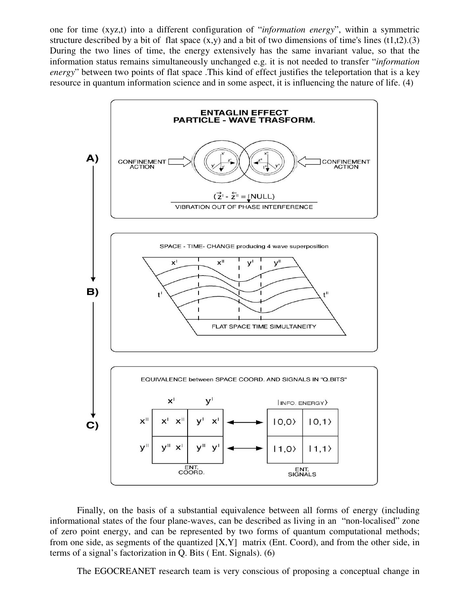one for time (xyz,t) into a different configuration of "*information energy*", within a symmetric structure described by a bit of flat space  $(x, y)$  and a bit of two dimensions of time's lines  $(t1,t2)$ .(3) During the two lines of time, the energy extensively has the same invariant value, so that the information status remains simultaneously unchanged e.g. it is not needed to transfer "*information energy*" between two points of flat space .This kind of effect justifies the teleportation that is a key resource in quantum information science and in some aspect, it is influencing the nature of life. (4)



Finally, on the basis of a substantial equivalence between all forms of energy (including informational states of the four plane-waves, can be described as living in an "non-localised" zone of zero point energy, and can be represented by two forms of quantum computational methods; from one side, as segments of the quantized [X,Y] matrix (Ent. Coord), and from the other side, in terms of a signal's factorization in Q. Bits ( Ent. Signals). (6)

The EGOCREANET research team is very conscious of proposing a conceptual change in